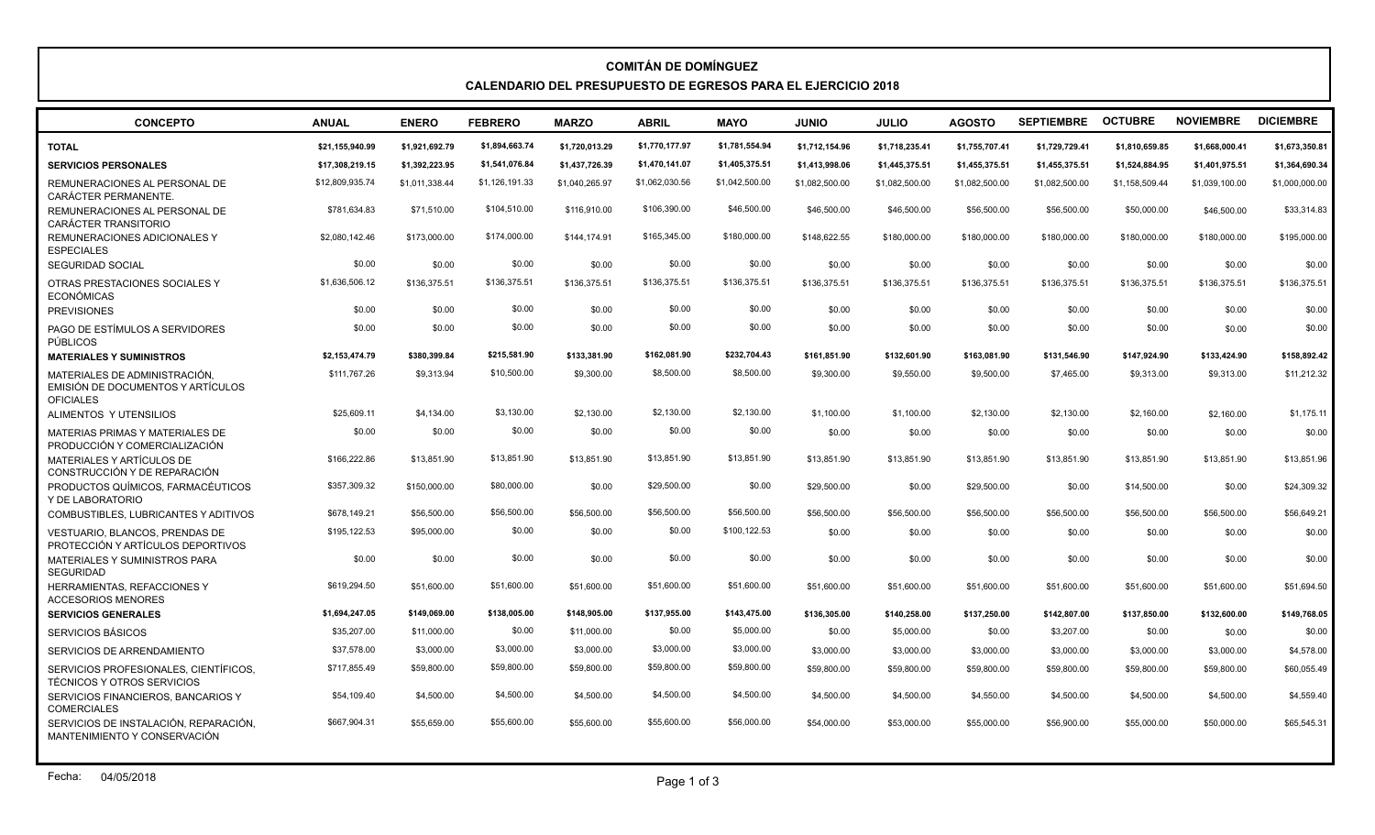## **COMITÁN DE DOMÍNGUEZ CALENDARIO DEL PRESUPUESTO DE EGRESOS PARA EL EJERCICIO 2018**

| <b>CONCEPTO</b>                                                                       | <b>ANUAL</b>    | <b>ENERO</b>   | <b>FEBRERO</b> | <b>MARZO</b>   | <b>ABRIL</b>   | <b>MAYO</b>    | <b>OINIU</b>   | <b>JULIO</b>   | <b>AGOSTO</b>  | <b>SEPTIEMBRE</b> | <b>OCTUBRE</b> | <b>NOVIEMBRE</b> | <b>DICIEMBRE</b> |
|---------------------------------------------------------------------------------------|-----------------|----------------|----------------|----------------|----------------|----------------|----------------|----------------|----------------|-------------------|----------------|------------------|------------------|
| <b>TOTAL</b>                                                                          | \$21,155,940.99 | \$1.921.692.79 | \$1,894,663.74 | \$1,720,013.29 | \$1,770,177.97 | \$1,781,554.94 | \$1,712,154.96 | \$1,718,235.41 | \$1,755,707.41 | \$1,729,729.41    | \$1.810.659.85 | \$1,668,000.41   | \$1,673,350.81   |
| <b>SERVICIOS PERSONALES</b>                                                           | \$17,308,219.15 | \$1,392,223.95 | \$1,541,076.84 | \$1,437,726.39 | \$1,470,141.07 | \$1,405,375.51 | \$1,413,998.06 | \$1,445,375.51 | \$1,455,375.51 | \$1,455,375.51    | \$1,524,884.95 | \$1,401,975.51   | \$1,364,690.34   |
| REMUNERACIONES AL PERSONAL DE<br><b>CARÁCTER PERMANENTE.</b>                          | \$12,809,935.74 | \$1,011,338.44 | \$1,126,191.33 | \$1,040,265.97 | \$1,062,030.56 | \$1,042,500.00 | \$1.082.500.00 | \$1,082,500.00 | \$1,082,500.00 | \$1,082,500.00    | \$1,158,509.44 | \$1,039,100.00   | \$1,000,000.00   |
| REMUNERACIONES AL PERSONAL DE<br>CARÁCTER TRANSITORIO                                 | \$781,634.83    | \$71,510.00    | \$104,510.00   | \$116,910.00   | \$106,390.00   | \$46,500.00    | \$46,500.00    | \$46,500.00    | \$56,500.00    | \$56,500.00       | \$50,000.00    | \$46,500.00      | \$33,314.83      |
| REMUNERACIONES ADICIONALES Y<br><b>ESPECIALES</b>                                     | \$2,080,142.46  | \$173,000.00   | \$174,000.00   | \$144.174.91   | \$165,345.00   | \$180,000.00   | \$148,622.55   | \$180,000.00   | \$180,000.00   | \$180,000.00      | \$180,000.00   | \$180,000.00     | \$195,000.00     |
| <b>SEGURIDAD SOCIAL</b>                                                               | \$0.00          | \$0.00         | \$0.00         | \$0.00         | \$0.00         | \$0.00         | \$0.00         | \$0.00         | \$0.00         | \$0.00            | \$0.00         | \$0.00           | \$0.00           |
| OTRAS PRESTACIONES SOCIALES Y<br><b>ECONÓMICAS</b>                                    | \$1,636,506.12  | \$136,375.51   | \$136,375.51   | \$136.375.51   | \$136,375.51   | \$136,375.51   | \$136,375.51   | \$136,375.51   | \$136,375.51   | \$136,375.51      | \$136,375.51   | \$136,375.51     | \$136,375.51     |
| <b>PREVISIONES</b>                                                                    | \$0.00          | \$0.00         | \$0.00         | \$0.00         | \$0.00         | \$0.00         | \$0.00         | \$0.00         | \$0.00         | \$0.00            | \$0.00         | \$0.00           | \$0.00           |
| PAGO DE ESTÍMULOS A SERVIDORES<br><b>PÚBLICOS</b>                                     | \$0.00          | \$0.00         | \$0.00         | \$0.00         | \$0.00         | \$0.00         | \$0.00         | \$0.00         | \$0.00         | \$0.00            | \$0.00         | \$0.00           | \$0.00           |
| <b>MATERIALES Y SUMINISTROS</b>                                                       | \$2.153.474.79  | \$380.399.84   | \$215,581.90   | \$133,381.90   | \$162,081.90   | \$232,704.43   | \$161.851.90   | \$132,601.90   | \$163,081.90   | \$131.546.90      | \$147.924.90   | \$133,424.90     | \$158,892.42     |
| MATERIALES DE ADMINISTRACIÓN<br>EMISIÓN DE DOCUMENTOS Y ARTÍCULOS<br><b>OFICIALES</b> | \$111,767.26    | \$9,313.94     | \$10,500.00    | \$9,300.00     | \$8,500.00     | \$8,500.00     | \$9,300.00     | \$9,550.00     | \$9,500.00     | \$7,465.00        | \$9,313.00     | \$9,313.00       | \$11,212.32      |
| ALIMENTOS Y UTENSILIOS                                                                | \$25,609.11     | \$4,134,00     | \$3,130.00     | \$2,130.00     | \$2,130.00     | \$2,130.00     | \$1,100.00     | \$1,100.00     | \$2,130.00     | \$2,130.00        | \$2,160.00     | \$2,160.00       | \$1,175.11       |
| MATERIAS PRIMAS Y MATERIALES DE<br>PRODUCCIÓN Y COMERCIALIZACIÓN                      | \$0.00          | \$0.00         | \$0.00         | \$0.00         | \$0.00         | \$0.00         | \$0.00         | \$0.00         | \$0.00         | \$0.00            | \$0.00         | \$0.00           | \$0.00           |
| MATERIALES Y ARTÍCULOS DE<br>CONSTRUCCIÓN Y DE REPARACIÓN                             | \$166,222.86    | \$13,851.90    | \$13,851.90    | \$13,851.90    | \$13,851.90    | \$13,851.90    | \$13,851.90    | \$13,851.90    | \$13,851.90    | \$13,851.90       | \$13,851.90    | \$13.851.90      | \$13,851.96      |
| PRODUCTOS QUÍMICOS, FARMACÉUTICOS<br>Y DE LABORATORIO                                 | \$357,309.32    | \$150,000.00   | \$80,000.00    | \$0.00         | \$29,500.00    | \$0.00         | \$29,500.00    | \$0.00         | \$29,500.00    | \$0.00            | \$14,500.00    | \$0.00           | \$24,309.32      |
| COMBUSTIBLES, LUBRICANTES Y ADITIVOS                                                  | \$678,149.21    | \$56,500.00    | \$56,500.00    | \$56,500.00    | \$56,500.00    | \$56,500.00    | \$56,500.00    | \$56,500.00    | \$56,500.00    | \$56,500.00       | \$56,500.00    | \$56,500.00      | \$56,649.21      |
| <b>VESTUARIO. BLANCOS. PRENDAS DE</b><br>PROTECCIÓN Y ARTÍCULOS DEPORTIVOS            | \$195,122.53    | \$95,000.00    | \$0.00         | \$0.00         | \$0.00         | \$100,122.53   | \$0.00         | \$0.00         | \$0.00         | \$0.00            | \$0.00         | \$0.00           | \$0.00           |
| MATERIALES Y SUMINISTROS PARA<br>SEGURIDAD                                            | \$0.00          | \$0.00         | \$0.00         | \$0.00         | \$0.00         | \$0.00         | \$0.00         | \$0.00         | \$0.00         | \$0.00            | \$0.00         | \$0.00           | \$0.00           |
| HERRAMIENTAS, REFACCIONES Y<br><b>ACCESORIOS MENORES</b>                              | \$619,294.50    | \$51,600.00    | \$51,600.00    | \$51,600.00    | \$51,600.00    | \$51,600.00    | \$51,600.00    | \$51,600.00    | \$51,600.00    | \$51,600.00       | \$51,600.00    | \$51,600.00      | \$51,694.50      |
| <b>SERVICIOS GENERALES</b>                                                            | \$1,694,247.05  | \$149,069.00   | \$138,005.00   | \$148,905.00   | \$137,955.00   | \$143,475.00   | \$136,305.00   | \$140,258.00   | \$137,250.00   | \$142,807.00      | \$137,850.00   | \$132,600.00     | \$149,768.05     |
| SERVICIOS BÁSICOS                                                                     | \$35,207.00     | \$11,000.00    | \$0.00         | \$11,000.00    | \$0.00         | \$5,000.00     | \$0.00         | \$5,000.00     | \$0.00         | \$3,207.00        | \$0.00         | \$0.00           | \$0.00           |
| SERVICIOS DE ARRENDAMIENTO                                                            | \$37,578.00     | \$3,000.00     | \$3,000.00     | \$3,000.00     | \$3,000.00     | \$3,000.00     | \$3,000.00     | \$3,000.00     | \$3,000.00     | \$3,000.00        | \$3,000.00     | \$3,000.00       | \$4,578.00       |
| SERVICIOS PROFESIONALES. CIENTÍFICOS.<br><b>TÉCNICOS Y OTROS SERVICIOS</b>            | \$717,855.49    | \$59,800.00    | \$59,800.00    | \$59,800.00    | \$59,800.00    | \$59,800.00    | \$59,800.00    | \$59,800.00    | \$59,800.00    | \$59,800.00       | \$59,800.00    | \$59,800.00      | \$60,055.49      |
| SERVICIOS FINANCIEROS, BANCARIOS Y<br><b>COMERCIALES</b>                              | \$54,109.40     | \$4,500.00     | \$4,500.00     | \$4,500.00     | \$4,500.00     | \$4,500.00     | \$4,500.00     | \$4,500.00     | \$4,550.00     | \$4,500.00        | \$4,500.00     | \$4,500.00       | \$4,559.40       |
| SERVICIOS DE INSTALACIÓN, REPARACIÓN,<br>MANTENIMIENTO Y CONSERVACIÓN                 | \$667,904.31    | \$55,659.00    | \$55,600.00    | \$55,600.00    | \$55,600.00    | \$56,000.00    | \$54,000.00    | \$53,000.00    | \$55,000.00    | \$56,900.00       | \$55,000.00    | \$50,000.00      | \$65,545.31      |
|                                                                                       |                 |                |                |                |                |                |                |                |                |                   |                |                  |                  |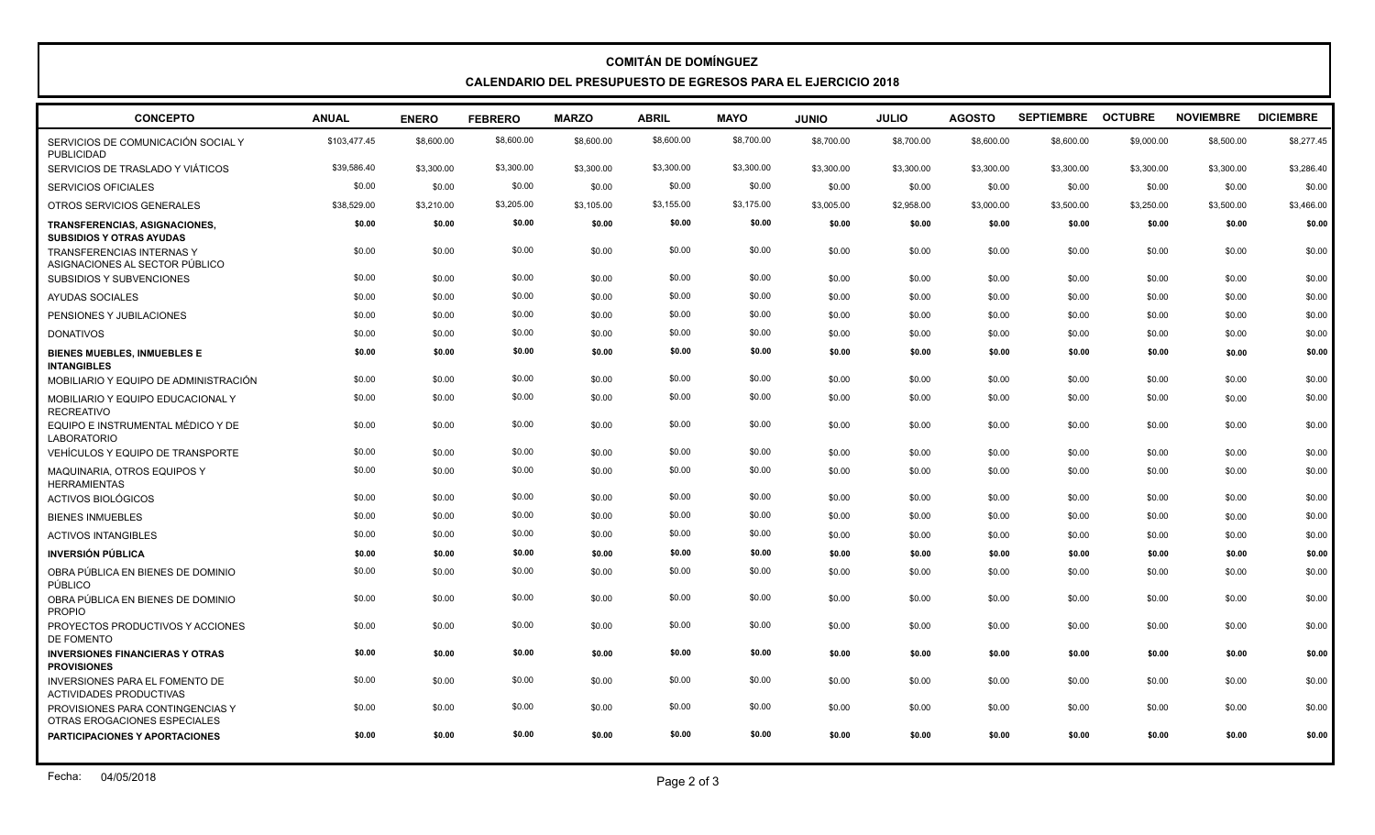## **COMITÁN DE DOMÍNGUEZ CALENDARIO DEL PRESUPUESTO DE EGRESOS PARA EL EJERCICIO 2018**

| <b>CONCEPTO</b>                                                    | <b>ANUAL</b> | <b>ENERO</b> | <b>FEBRERO</b>   | <b>MARZO</b> | <b>ABRIL</b>     | <b>MAYO</b>      | <b>JUNIO</b> | <b>JULIO</b> | <b>AGOSTO</b> | SEPTIEMBRE OCTUBRE |            | <b>NOVIEMBRE</b> | <b>DICIEMBRE</b> |
|--------------------------------------------------------------------|--------------|--------------|------------------|--------------|------------------|------------------|--------------|--------------|---------------|--------------------|------------|------------------|------------------|
| SERVICIOS DE COMUNICACIÓN SOCIAL Y<br><b>PUBLICIDAD</b>            | \$103,477.45 | \$8,600.00   | \$8,600.00       | \$8,600.00   | \$8,600.00       | \$8,700.00       | \$8,700.00   | \$8,700.00   | \$8,600.00    | \$8,600.00         | \$9,000.00 | \$8,500.00       | \$8,277.45       |
| SERVICIOS DE TRASLADO Y VIÁTICOS                                   | \$39,586.40  | \$3,300.00   | \$3,300.00       | \$3,300.00   | \$3,300.00       | \$3,300.00       | \$3,300.00   | \$3,300.00   | \$3,300.00    | \$3,300.00         | \$3,300.00 | \$3,300.00       | \$3,286.40       |
| SERVICIOS OFICIALES                                                | \$0.00       | \$0.00       | \$0.00           | \$0.00       | \$0.00           | \$0.00           | \$0.00       | \$0.00       | \$0.00        | \$0.00             | \$0.00     | \$0.00           | \$0.00           |
| OTROS SERVICIOS GENERALES                                          | \$38,529.00  | \$3,210.00   | \$3,205.00       | \$3,105.00   | \$3,155.00       | \$3,175.00       | \$3,005.00   | \$2,958.00   | \$3,000.00    | \$3,500.00         | \$3,250.00 | \$3,500.00       | \$3,466.00       |
| TRANSFERENCIAS, ASIGNACIONES,<br><b>SUBSIDIOS Y OTRAS AYUDAS</b>   | \$0.00       | \$0.00       | \$0.00           | \$0.00       | \$0.00           | \$0.00           | \$0.00       | \$0.00       | \$0.00        | \$0.00             | \$0.00     | \$0.00           | \$0.00           |
| <b>TRANSFERENCIAS INTERNAS Y</b><br>ASIGNACIONES AL SECTOR PÚBLICO | \$0.00       | \$0.00       | \$0.00           | \$0.00       | \$0.00           | \$0.00           | \$0.00       | \$0.00       | \$0.00        | \$0.00             | \$0.00     | \$0.00           | \$0.00           |
| SUBSIDIOS Y SUBVENCIONES                                           | \$0.00       | \$0.00       | \$0.00           | \$0.00       | \$0.00           | \$0.00           | \$0.00       | \$0.00       | \$0.00        | \$0.00             | \$0.00     | \$0.00           | \$0.00           |
| AYUDAS SOCIALES                                                    | \$0.00       | \$0.00       | \$0.00           | \$0.00       | \$0.00           | \$0.00           | \$0.00       | \$0.00       | \$0.00        | \$0.00             | \$0.00     | \$0.00           | \$0.00           |
| PENSIONES Y JUBILACIONES                                           | \$0.00       | \$0.00       | \$0.00           | \$0.00       | \$0.00           | \$0.00           | \$0.00       | \$0.00       | \$0.00        | \$0.00             | \$0.00     | \$0.00           | \$0.00           |
| <b>DONATIVOS</b>                                                   | \$0.00       | \$0.00       | \$0.00           | \$0.00       | \$0.00           | \$0.00           | \$0.00       | \$0.00       | \$0.00        | \$0.00             | \$0.00     | \$0.00           | \$0.00           |
| <b>BIENES MUEBLES, INMUEBLES E</b><br><b>INTANGIBLES</b>           | \$0.00       | \$0.00       | \$0.00           | \$0.00       | \$0.00           | \$0.00           | \$0.00       | \$0.00       | \$0.00        | \$0.00             | \$0.00     | \$0.00           | \$0.00           |
| MOBILIARIO Y EQUIPO DE ADMINISTRACIÓN                              | \$0.00       | \$0.00       | \$0.00           | \$0.00       | \$0.00           | \$0.00           | \$0.00       | \$0.00       | \$0.00        | \$0.00             | \$0.00     | \$0.00           | \$0.00           |
| MOBILIARIO Y EQUIPO EDUCACIONAL Y<br><b>RECREATIVO</b>             | \$0.00       | \$0.00       | \$0.00           | \$0.00       | \$0.00           | \$0.00           | \$0.00       | \$0.00       | \$0.00        | \$0.00             | \$0.00     | \$0.00           | \$0.00           |
| EQUIPO E INSTRUMENTAL MÉDICO Y DE<br><b>LABORATORIO</b>            | \$0.00       | \$0.00       | \$0.00<br>\$0.00 | \$0.00       | \$0.00<br>\$0.00 | \$0.00<br>\$0.00 | \$0.00       | \$0.00       | \$0.00        | \$0.00             | \$0.00     | \$0.00           | \$0.00           |
| VEHÍCULOS Y EQUIPO DE TRANSPORTE                                   | \$0.00       | \$0.00       |                  | \$0.00       |                  |                  | \$0.00       | \$0.00       | \$0.00        | \$0.00             | \$0.00     | \$0.00           | \$0.00           |
| MAQUINARIA, OTROS EQUIPOS Y<br><b>HERRAMIENTAS</b>                 | \$0.00       | \$0.00       | \$0.00           | \$0.00       | \$0.00           | \$0.00           | \$0.00       | \$0.00       | \$0.00        | \$0.00             | \$0.00     | \$0.00           | \$0.00           |
| <b>ACTIVOS BIOLÓGICOS</b>                                          | \$0.00       | \$0.00       | \$0.00           | \$0.00       | \$0.00           | \$0.00           | \$0.00       | \$0.00       | \$0.00        | \$0.00             | \$0.00     | \$0.00           | \$0.00           |
| <b>BIENES INMUEBLES</b>                                            | \$0.00       | \$0.00       | \$0.00           | \$0.00       | \$0.00           | \$0.00           | \$0.00       | \$0.00       | \$0.00        | \$0.00             | \$0.00     | \$0.00           | \$0.00           |
| <b>ACTIVOS INTANGIBLES</b>                                         | \$0.00       | \$0.00       | \$0.00           | \$0.00       | \$0.00           | \$0.00           | \$0.00       | \$0.00       | \$0.00        | \$0.00             | \$0.00     | \$0.00           | \$0.00           |
| <b>INVERSIÓN PÚBLICA</b>                                           | \$0.00       | \$0.00       | \$0.00           | \$0.00       | \$0.00           | \$0.00           | \$0.00       | \$0.00       | \$0.00        | \$0.00             | \$0.00     | \$0.00           | \$0.00           |
| OBRA PÚBLICA EN BIENES DE DOMINIO<br><b>PÚBLICO</b>                | \$0.00       | \$0.00       | \$0.00           | \$0.00       | \$0.00           | \$0.00           | \$0.00       | \$0.00       | \$0.00        | \$0.00             | \$0.00     | \$0.00           | \$0.00           |
| OBRA PÚBLICA EN BIENES DE DOMINIO<br><b>PROPIO</b>                 | \$0.00       | \$0.00       | \$0.00           | \$0.00       | \$0.00           | \$0.00           | \$0.00       | \$0.00       | \$0.00        | \$0.00             | \$0.00     | \$0.00           | \$0.00           |
| PROYECTOS PRODUCTIVOS Y ACCIONES<br>DE FOMENTO                     | \$0.00       | \$0.00       | \$0.00           | \$0.00       | \$0.00           | \$0.00           | \$0.00       | \$0.00       | \$0.00        | \$0.00             | \$0.00     | \$0.00           | \$0.00           |
| <b>INVERSIONES FINANCIERAS Y OTRAS</b><br><b>PROVISIONES</b>       | \$0.00       | \$0.00       | \$0.00           | \$0.00       | \$0.00           | \$0.00           | \$0.00       | \$0.00       | \$0.00        | \$0.00             | \$0.00     | \$0.00           | \$0.00           |
| INVERSIONES PARA EL FOMENTO DE<br><b>ACTIVIDADES PRODUCTIVAS</b>   | \$0.00       | \$0.00       | \$0.00           | \$0.00       | \$0.00           | \$0.00           | \$0.00       | \$0.00       | \$0.00        | \$0.00             | \$0.00     | \$0.00           | \$0.00           |
| PROVISIONES PARA CONTINGENCIAS Y<br>OTRAS EROGACIONES ESPECIALES   | \$0.00       | \$0.00       | \$0.00           | \$0.00       | \$0.00           | \$0.00           | \$0.00       | \$0.00       | \$0.00        | \$0.00             | \$0.00     | \$0.00           | \$0.00           |
| PARTICIPACIONES Y APORTACIONES                                     | \$0.00       | \$0.00       | \$0.00           | \$0.00       | \$0.00           | \$0.00           | \$0.00       | \$0.00       | \$0.00        | \$0.00             | \$0.00     | \$0.00           | \$0.00           |